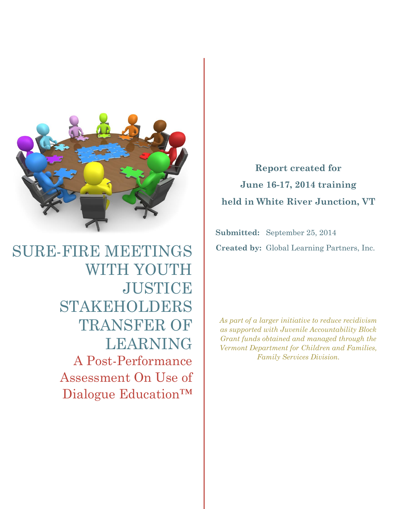

SURE-FIRE MEETINGS WITH YOUTH **JUSTICE** STAKEHOLDERS TRANSFER OF LEARNING A Post-Performance Assessment On Use of Dialogue Education™

**Report created for June 16-17, 2014 training held in White River Junction, VT**

**Submitted:** September 25, 2014 **Created by:** Global Learning Partners, Inc.

*As part of a larger initiative to reduce recidivism as supported with Juvenile Accountability Block Grant funds obtained and managed through the Vermont Department for Children and Families, Family Services Division.*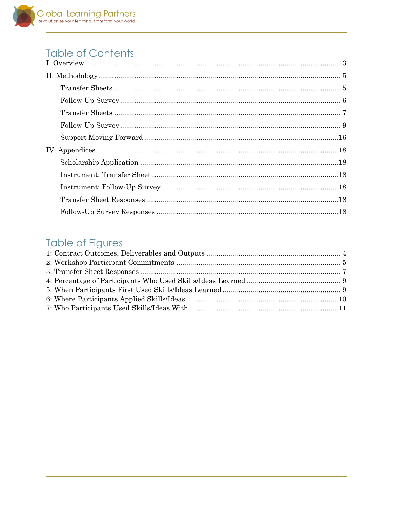# **Table of Contents**

| $\label{thm:main} \hbox{II. Methodology}. \hbox{\begin{minipage}{14cm} \begin{minipage}{0.9cm} \bf{1.} \end{minipage}} \hfill \begin{minipage}{0.9cm} \begin{minipage}{0.9cm} \bf{5.} \end{minipage} \hfill \begin{minipage}{0.9cm} \begin{minipage}{0.9cm} \bf{1.} \end{minipage} \hfill \begin{minipage}{0.9cm} \bf{1.} \end{minipage} \hfill \begin{minipage}{0.9cm} \begin{minipage}{0.9cm} \bf{1.} \end{minipage} \hfill \begin{minipage}{0.9cm} \$                                    |  |
|---------------------------------------------------------------------------------------------------------------------------------------------------------------------------------------------------------------------------------------------------------------------------------------------------------------------------------------------------------------------------------------------------------------------------------------------------------------------------------------------|--|
|                                                                                                                                                                                                                                                                                                                                                                                                                                                                                             |  |
| ${\bf Follow\mbox{-}Up\mbox{-}Survey\mbox{-}\dots\mbox{-}\dots\mbox{-}\dots\mbox{-}\dots\mbox{-}\dots\mbox{-}\dots\mbox{-}\dots\mbox{-}\dots\mbox{-}\dots\mbox{-}\dots\mbox{-}\dots\mbox{-}\dots\mbox{-}\dots\mbox{-}\dots\mbox{-}\dots\mbox{-}\dots\mbox{-}\dots\mbox{-}\dots\mbox{-}\dots\mbox{-}\dots\mbox{-}\dots\mbox{-}\dots\mbox{-}\dots\mbox{-}\dots\mbox{-}\dots\mbox{-}\dots\mbox{-}\dots\mbox{-}\dots\mbox{-}\dots\mbox{-}\dots\mbox{-}\dots\mbox{-}\dots\mbox{-}\dots\mbox{-}\$ |  |
| $\begin{minipage}{0.9\linewidth} \textbf{Transfer} \textbf{Sheets} \textbf{} \textbf{} \textbf{} \textbf{} \textbf{} \textbf{} \textbf{} \textbf{} \textbf{} \textbf{} \textbf{} \textbf{} \textbf{} \textbf{} \textbf{1} \end{minipage}$                                                                                                                                                                                                                                                   |  |
|                                                                                                                                                                                                                                                                                                                                                                                                                                                                                             |  |
|                                                                                                                                                                                                                                                                                                                                                                                                                                                                                             |  |
|                                                                                                                                                                                                                                                                                                                                                                                                                                                                                             |  |
|                                                                                                                                                                                                                                                                                                                                                                                                                                                                                             |  |
|                                                                                                                                                                                                                                                                                                                                                                                                                                                                                             |  |
|                                                                                                                                                                                                                                                                                                                                                                                                                                                                                             |  |
|                                                                                                                                                                                                                                                                                                                                                                                                                                                                                             |  |
|                                                                                                                                                                                                                                                                                                                                                                                                                                                                                             |  |

# **Table of Figures**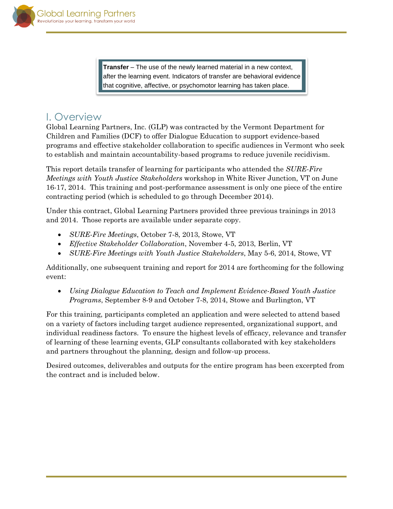**Transfer** – The use of the newly learned material in a new context, after the learning event. Indicators of transfer are behavioral evidence that cognitive, affective, or psychomotor learning has taken place.

# <span id="page-2-0"></span>I. Overview

Global Learning Partners, Inc. (GLP) was contracted by the Vermont Department for Children and Families (DCF) to offer Dialogue Education to support evidence-based programs and effective stakeholder collaboration to specific audiences in Vermont who seek to establish and maintain accountability-based programs to reduce juvenile recidivism.

This report details transfer of learning for participants who attended the *SURE-Fire Meetings with Youth Justice Stakeholders* workshop in White River Junction, VT on June 16-17, 2014. This training and post-performance assessment is only one piece of the entire contracting period (which is scheduled to go through December 2014).

Under this contract, Global Learning Partners provided three previous trainings in 2013 and 2014. Those reports are available under separate copy.

- *SURE-Fire Meetings*, October 7-8, 2013, Stowe, VT
- *Effective Stakeholder Collaboration*, November 4-5, 2013, Berlin, VT
- *SURE-Fire Meetings with Youth Justice Stakeholders*, May 5-6, 2014, Stowe, VT

Additionally, one subsequent training and report for 2014 are forthcoming for the following event:

 *Using Dialogue Education to Teach and Implement Evidence-Based Youth Justice Programs*, September 8-9 and October 7-8, 2014, Stowe and Burlington, VT

For this training, participants completed an application and were selected to attend based on a variety of factors including target audience represented, organizational support, and individual readiness factors. To ensure the highest levels of efficacy, relevance and transfer of learning of these learning events, GLP consultants collaborated with key stakeholders and partners throughout the planning, design and follow-up process.

Desired outcomes, deliverables and outputs for the entire program has been excerpted from the contract and is included below.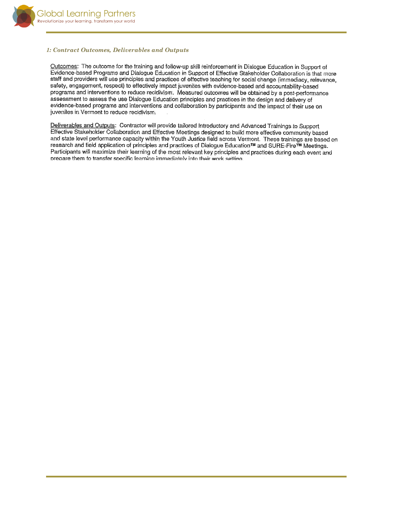

#### <span id="page-3-0"></span>*1: Contract Outcomes, Deliverables and Outputs*

Outcomes: The outcome for the training and follow-up skill reinforcement in Dialogue Education in Support of Evidence-based Programs and Dialogue Education in Support of Effective Stakeholder Collaboration is that more staff and providers will use principles and practices of effective teaching for social change (immediacy, relevance, safety, engagement, respect) to effectively impact juveniles with evidence-based and accountability-based programs and interventions to reduce recidivism. Measured outcomes will be obtained by a post-performance assessment to assess the use Dialogue Education principles and practices in the design and delivery of evidence-based programs and interventions and collaboration by participants and the impact of their use on juveniles in Vermont to reduce recidivism.

Deliverables and Outputs: Contractor will provide tailored Introductory and Advanced Trainings to Support Effective Stakeholder Collaboration and Effective Meetings designed to build more effective community based and state level performance capacity within the Youth Justice field across Vermont. These trainings are based on research and field application of principles and practices of Dialogue Education™ and SURE-Fire™ Meetings. Participants will maximize their learning of the most relevant key principles and practices during each event and prepare them to transfer specific learning immediately into their work setting.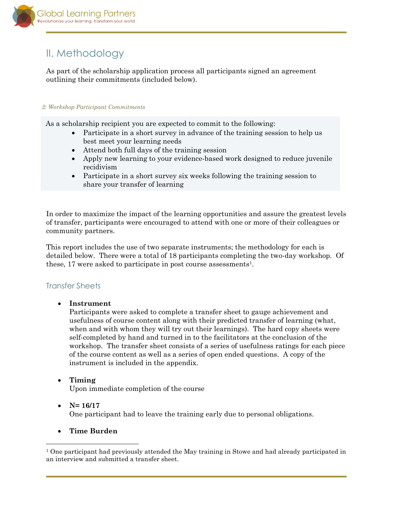

# <span id="page-4-0"></span>II. Methodology

As part of the scholarship application process all participants signed an agreement outlining their commitments (included below).

#### *2: Workshop Participant Commitments*

As a scholarship recipient you are expected to commit to the following:

- Participate in a short survey in advance of the training session to help us best meet your learning needs
- Attend both full days of the training session
- Apply new learning to your evidence-based work designed to reduce juvenile recidivism
- Participate in a short survey six weeks following the training session to share your transfer of learning

In order to maximize the impact of the learning opportunities and assure the greatest levels of transfer, participants were encouraged to attend with one or more of their colleagues or community partners.

This report includes the use of two separate instruments; the methodology for each is detailed below. There were a total of 18 participants completing the two-day workshop. Of these, 17 were asked to participate in post course assessments<sup>1</sup>.

## <span id="page-4-1"></span>Transfer Sheets

**Instrument** 

Participants were asked to complete a transfer sheet to gauge achievement and usefulness of course content along with their predicted transfer of learning (what, when and with whom they will try out their learnings). The hard copy sheets were self-completed by hand and turned in to the facilitators at the conclusion of the workshop. The transfer sheet consists of a series of usefulness ratings for each piece of the course content as well as a series of open ended questions. A copy of the instrument is included in the appendix.

#### **Timing**

Upon immediate completion of the course

#### •  $N= 16/17$

l

One participant had to leave the training early due to personal obligations.

#### **Time Burden**

<sup>1</sup> One participant had previously attended the May training in Stowe and had already participated in an interview and submitted a transfer sheet.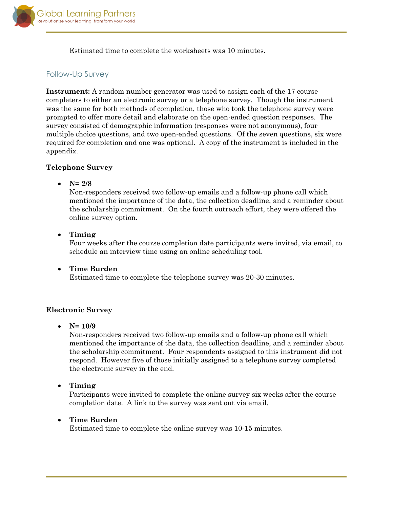

Estimated time to complete the worksheets was 10 minutes.

# <span id="page-5-0"></span>Follow-Up Survey

**Instrument:** A random number generator was used to assign each of the 17 course completers to either an electronic survey or a telephone survey. Though the instrument was the same for both methods of completion, those who took the telephone survey were prompted to offer more detail and elaborate on the open-ended question responses. The survey consisted of demographic information (responses were not anonymous), four multiple choice questions, and two open-ended questions. Of the seven questions, six were required for completion and one was optional. A copy of the instrument is included in the appendix.

#### **Telephone Survey**

**N= 2/8**

Non-responders received two follow-up emails and a follow-up phone call which mentioned the importance of the data, the collection deadline, and a reminder about the scholarship commitment. On the fourth outreach effort, they were offered the online survey option.

**Timing**

Four weeks after the course completion date participants were invited, via email, to schedule an interview time using an online scheduling tool.

 **Time Burden** Estimated time to complete the telephone survey was 20-30 minutes.

## **Electronic Survey**

**N= 10/9**

Non-responders received two follow-up emails and a follow-up phone call which mentioned the importance of the data, the collection deadline, and a reminder about the scholarship commitment. Four respondents assigned to this instrument did not respond. However five of those initially assigned to a telephone survey completed the electronic survey in the end.

**Timing**

Participants were invited to complete the online survey six weeks after the course completion date. A link to the survey was sent out via email.

## **Time Burden**

Estimated time to complete the online survey was 10-15 minutes.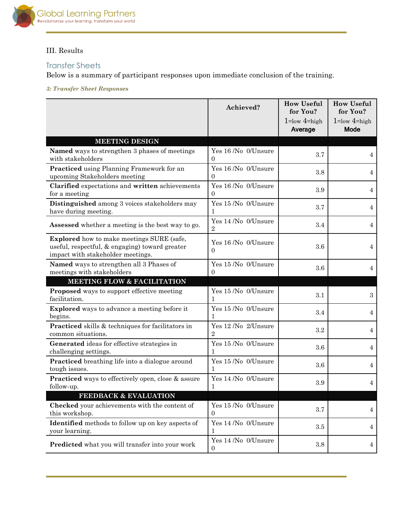

### III. Results

# <span id="page-6-0"></span>Transfer Sheets

Below is a summary of participant responses upon immediate conclusion of the training.

<span id="page-6-1"></span>*3: Transfer Sheet Responses*

|                                                                                                                                         | Achieved?                             | <b>How Useful</b><br>for You? | <b>How Useful</b><br>for You? |
|-----------------------------------------------------------------------------------------------------------------------------------------|---------------------------------------|-------------------------------|-------------------------------|
|                                                                                                                                         |                                       | $1 = low 4 = high$<br>Average | $1 = low 4 = high$<br>Mode    |
| <b>MEETING DESIGN</b>                                                                                                                   |                                       |                               |                               |
| Named ways to strengthen 3 phases of meetings<br>with stakeholders                                                                      | Yes 16 /No 0/Unsure<br>0              | 3.7                           | 4                             |
| Practiced using Planning Framework for an<br>upcoming Stakeholders meeting                                                              | Yes 16 /No 0/Unsure<br>$\overline{0}$ | 3.8                           | 4                             |
| Clarified expectations and written achievements<br>for a meeting                                                                        | Yes 16 /No 0/Unsure<br>$\Omega$       | 3.9                           | 4                             |
| Distinguished among 3 voices stakeholders may<br>have during meeting.                                                                   | Yes 15 /No 0/Unsure                   | 3.7                           | 4                             |
| Assessed whether a meeting is the best way to go.                                                                                       | Yes 14 /No 0/Unsure<br>$\overline{2}$ | 3.4                           | 4                             |
| <b>Explored</b> how to make meetings SURE (safe,<br>useful, respectful, & engaging) toward greater<br>impact with stakeholder meetings. | Yes 16 /No 0/Unsure<br>$\Omega$       | 3.6                           | 4                             |
| Named ways to strengthen all 3 Phases of<br>meetings with stakeholders                                                                  | Yes 15 /No 0/Unsure<br>0              | 3.6                           | 4                             |
| <b>MEETING FLOW &amp; FACILITATION</b>                                                                                                  |                                       |                               |                               |
| <b>Proposed</b> ways to support effective meeting<br>facilitation.                                                                      | Yes 15 /No 0/Unsure<br>1              | 3.1                           | 3                             |
| <b>Explored</b> ways to advance a meeting before it<br>begins.                                                                          | Yes 15 /No 0/Unsure<br>1              | 3.4                           | 4                             |
| Practiced skills & techniques for facilitators in<br>common situations.                                                                 | Yes 12 /No 2/Unsure<br>$\overline{2}$ | 3.2                           | 4                             |
| Generated ideas for effective strategies in<br>challenging settings.                                                                    | Yes 15 /No 0/Unsure<br>1              | 3.6                           | 4                             |
| Practiced breathing life into a dialogue around<br>tough issues.                                                                        | Yes 15 /No 0/Unsure<br>1              | 3.6                           | 4                             |
| <b>Practiced</b> ways to effectively open, close & assure<br>follow-up.                                                                 | Yes 14 /No 0/Unsure<br>1              | 3.9                           | 4                             |
| <b>FEEDBACK &amp; EVALUATION</b>                                                                                                        |                                       |                               |                               |
| Checked your achievements with the content of<br>this workshop.                                                                         | Yes 15 /No 0/Unsure<br>$\overline{0}$ | 3.7                           | 4                             |
| <b>Identified</b> methods to follow up on key aspects of<br>your learning.                                                              | Yes 14 /No 0/Unsure<br>1              | 3.5                           | 4                             |
| Predicted what you will transfer into your work                                                                                         | Yes 14 /No 0/Unsure<br>0              | 3.8                           | 4                             |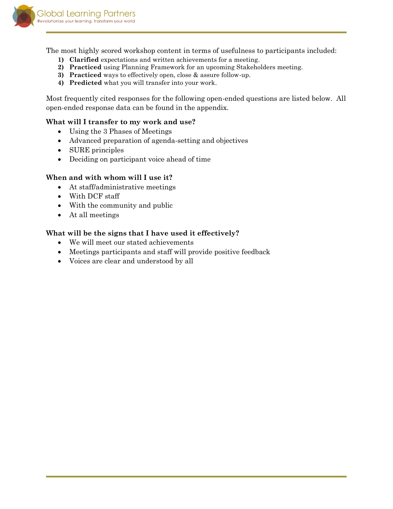

The most highly scored workshop content in terms of usefulness to participants included:

- **1) Clarified** expectations and written achievements for a meeting.
- **2) Practiced** using Planning Framework for an upcoming Stakeholders meeting.
- **3) Practiced** ways to effectively open, close & assure follow-up.
- **4) Predicted** what you will transfer into your work.

Most frequently cited responses for the following open-ended questions are listed below. All open-ended response data can be found in the appendix.

#### **What will I transfer to my work and use?**

- Using the 3 Phases of Meetings
- Advanced preparation of agenda-setting and objectives
- SURE principles
- Deciding on participant voice ahead of time

#### **When and with whom will I use it?**

- At staff/administrative meetings
- With DCF staff
- With the community and public
- At all meetings

#### **What will be the signs that I have used it effectively?**

- We will meet our stated achievements
- Meetings participants and staff will provide positive feedback
- Voices are clear and understood by all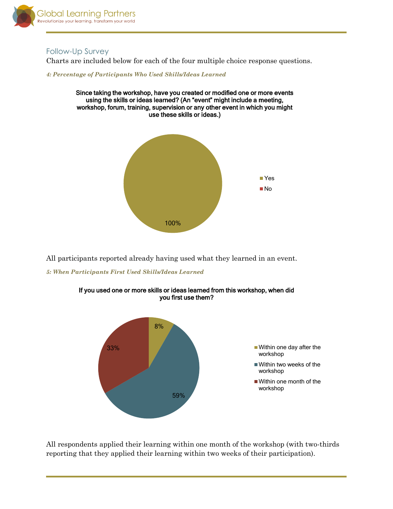

## <span id="page-8-0"></span>Follow-Up Survey

Charts are included below for each of the four multiple choice response questions.

<span id="page-8-1"></span>*4: Percentage of Participants Who Used Skills/Ideas Learned*





All participants reported already having used what they learned in an event.

<span id="page-8-2"></span>*5: When Participants First Used Skills/Ideas Learned*



If you used one or more skills or ideas learned from this workshop, when did you first use them?

All respondents applied their learning within one month of the workshop (with two-thirds reporting that they applied their learning within two weeks of their participation).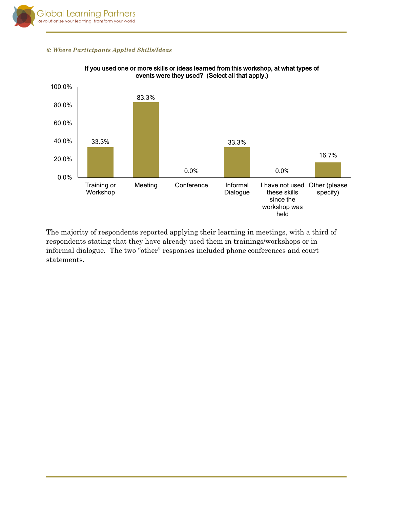

#### <span id="page-9-0"></span>*6: Where Participants Applied Skills/Ideas*



#### If you used one or more skills or ideas learned from this workshop, at what types of events were they used? (Select all that apply.)

The majority of respondents reported applying their learning in meetings, with a third of respondents stating that they have already used them in trainings/workshops or in informal dialogue. The two "other" responses included phone conferences and court statements.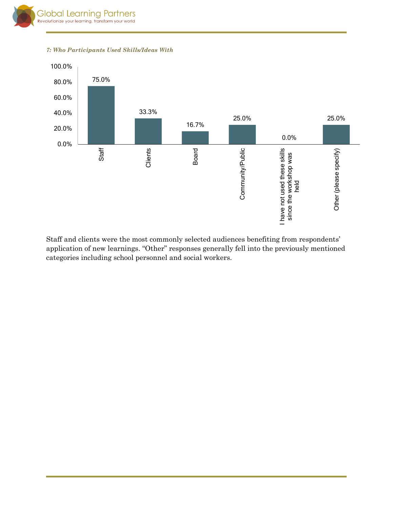<span id="page-10-0"></span>*7: Who Participants Used Skills/Ideas With*



Staff and clients were the most commonly selected audiences benefiting from respondents' application of new learnings. "Other" responses generally fell into the previously mentioned categories including school personnel and social workers.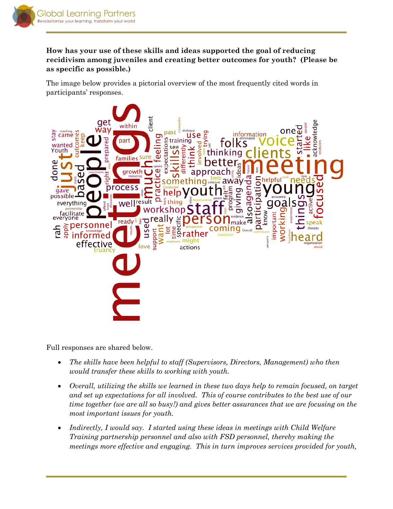

# **How has your use of these skills and ideas supported the goal of reducing recidivism among juveniles and creating better outcomes for youth? (Please be as specific as possible.)**

The image below provides a pictorial overview of the most frequently cited words in participants' responses.



Full responses are shared below.

- *The skills have been helpful to staff (Supervisors, Directors, Management) who then would transfer these skills to working with youth.*
- *Overall, utilizing the skills we learned in these two days help to remain focused, on target and set up expectations for all involved. This of course contributes to the best use of our time together (we are all so busy!) and gives better assurances that we are focusing on the most important issues for youth.*
- *Indirectly, I would say. I started using these ideas in meetings with Child Welfare Training partnership personnel and also with FSD personnel, thereby making the meetings more effective and engaging. This in turn improves services provided for youth,*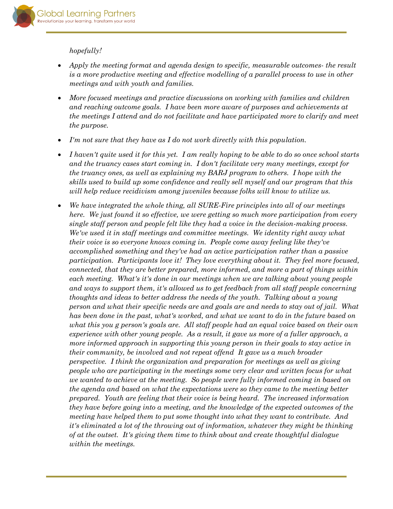

#### *hopefully!*

- *Apply the meeting format and agenda design to specific, measurable outcomes- the result is a more productive meeting and effective modelling of a parallel process to use in other meetings and with youth and families.*
- *More focused meetings and practice discussions on working with families and children and reaching outcome goals. I have been more aware of purposes and achievements at the meetings I attend and do not facilitate and have participated more to clarify and meet the purpose.*
- *I'm not sure that they have as I do not work directly with this population.*
- *I haven't quite used it for this yet. I am really hoping to be able to do so once school starts and the truancy cases start coming in. I don't facilitate very many meetings, except for the truancy ones, as well as explaining my BARJ program to others. I hope with the skills used to build up some confidence and really sell myself and our program that this will help reduce recidivism among juveniles because folks will know to utilize us.*
- *We have integrated the whole thing, all SURE-Fire principles into all of our meetings here. We just found it so effective, we were getting so much more participation from every single staff person and people felt like they had a voice in the decision-making process. We've used it in staff meetings and committee meetings. We identity right away what their voice is so everyone knows coming in. People come away feeling like they've accomplished something and they've had an active participation rather than a passive participation. Participants love it! They love everything about it. They feel more focused, connected, that they are better prepared, more informed, and more a part of things within each meeting. What's it's done in our meetings when we are talking about young people and ways to support them, it's allowed us to get feedback from all staff people concerning thoughts and ideas to better address the needs of the youth. Talking about a young person and what their specific needs are and goals are and needs to stay out of jail. What has been done in the past, what's worked, and what we want to do in the future based on what this you g person's goals are. All staff people had an equal voice based on their own experience with other young people. As a result, it gave us more of a fuller approach, a more informed approach in supporting this young person in their goals to stay active in their community, be involved and not repeat offend It gave us a much broader perspective. I think the organization and preparation for meetings as well as giving people who are participating in the meetings some very clear and written focus for what we wanted to achieve at the meeting. So people were fully informed coming in based on the agenda and based on what the expectations were so they came to the meeting better prepared. Youth are feeling that their voice is being heard. The increased information they have before going into a meeting, and the knowledge of the expected outcomes of the meeting have helped them to put some thought into what they want to contribute. And it's eliminated a lot of the throwing out of information, whatever they might be thinking of at the outset. It's giving them time to think about and create thoughtful dialogue within the meetings.*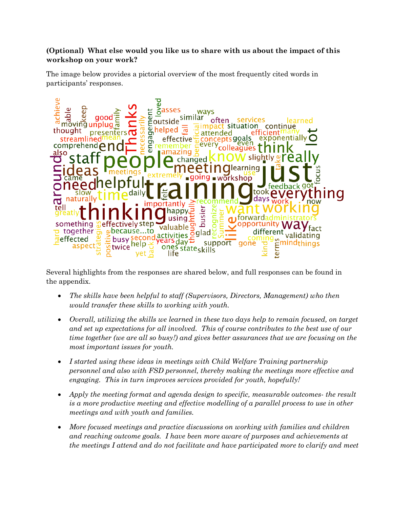## **(Optional) What else would you like us to share with us about the impact of this workshop on your work?**

The image below provides a pictorial overview of the most frequently cited words in participants' responses.



Several highlights from the responses are shared below, and full responses can be found in the appendix.

- *The skills have been helpful to staff (Supervisors, Directors, Management) who then would transfer these skills to working with youth.*
- *Overall, utilizing the skills we learned in these two days help to remain focused, on target and set up expectations for all involved. This of course contributes to the best use of our time together (we are all so busy!) and gives better assurances that we are focusing on the most important issues for youth.*
- *I started using these ideas in meetings with Child Welfare Training partnership personnel and also with FSD personnel, thereby making the meetings more effective and engaging. This in turn improves services provided for youth, hopefully!*
- *Apply the meeting format and agenda design to specific, measurable outcomes- the result is a more productive meeting and effective modelling of a parallel process to use in other meetings and with youth and families.*
- *More focused meetings and practice discussions on working with families and children and reaching outcome goals. I have been more aware of purposes and achievements at the meetings I attend and do not facilitate and have participated more to clarify and meet*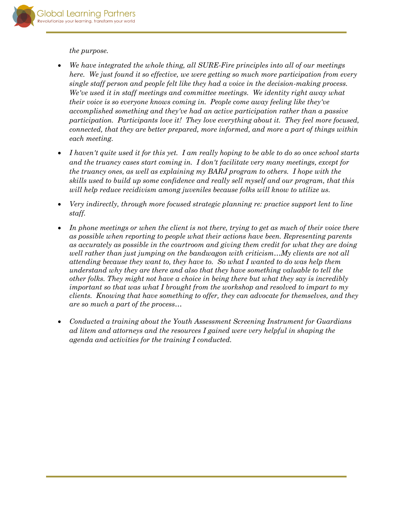

*the purpose.*

- *We have integrated the whole thing, all SURE-Fire principles into all of our meetings here. We just found it so effective, we were getting so much more participation from every single staff person and people felt like they had a voice in the decision-making process. We've used it in staff meetings and committee meetings. We identity right away what their voice is so everyone knows coming in. People come away feeling like they've accomplished something and they've had an active participation rather than a passive participation. Participants love it! They love everything about it. They feel more focused, connected, that they are better prepared, more informed, and more a part of things within each meeting.*
- *I haven't quite used it for this yet. I am really hoping to be able to do so once school starts and the truancy cases start coming in. I don't facilitate very many meetings, except for the truancy ones, as well as explaining my BARJ program to others. I hope with the skills used to build up some confidence and really sell myself and our program, that this will help reduce recidivism among juveniles because folks will know to utilize us.*
- *Very indirectly, through more focused strategic planning re: practice support lent to line staff.*
- *In phone meetings or when the client is not there, trying to get as much of their voice there as possible when reporting to people what their actions have been. Representing parents as accurately as possible in the courtroom and giving them credit for what they are doing well rather than just jumping on the bandwagon with criticism…My clients are not all attending because they want to, they have to. So what I wanted to do was help them understand why they are there and also that they have something valuable to tell the other folks. They might not have a choice in being there but what they say is incredibly important so that was what I brought from the workshop and resolved to impart to my clients. Knowing that have something to offer, they can advocate for themselves, and they are so much a part of the process…*
- *Conducted a training about the Youth Assessment Screening Instrument for Guardians ad litem and attorneys and the resources I gained were very helpful in shaping the agenda and activities for the training I conducted.*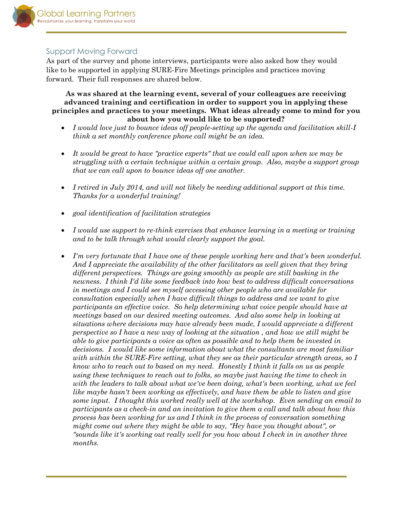

### <span id="page-15-0"></span>Support Moving Forward

As part of the survey and phone interviews, participants were also asked how they would like to be supported in applying SURE-Fire Meetings principles and practices moving forward. Their full responses are shared below.

**As was shared at the learning event, several of your colleagues are receiving advanced training and certification in order to support you in applying these principles and practices to your meetings. What ideas already come to mind for you about how you would like to be supported?**

- *I would love just to bounce ideas off people-setting up the agenda and facilitation skill-I think a set monthly conference phone call might be an idea.*
- *It would be great to have "practice experts" that we could call upon when we may be struggling with a certain technique within a certain group. Also, maybe a support group that we can call upon to bounce ideas off one another.*
- *I retired in July 2014, and will not likely be needing additional support at this time. Thanks for a wonderful training!*
- *goal identification of facilitation strategies*
- *I would use support to re-think exercises that enhance learning in a meeting or training and to be talk through what would clearly support the goal.*
- *I'm very fortunate that I have one of these people working here and that's been wonderful. And I appreciate the availability of the other facilitators as well given that they bring different perspectives. Things are going smoothly as people are still basking in the newness. I think I'd like some feedback into how best to address difficult conversations in meetings and I could see myself accessing other people who are available for consultation especially when I have difficult things to address and we want to give participants an effective voice. So help determining what voice people should have at meetings based on our desired meeting outcomes. And also some help in looking at situations where decisions may have already been made, I would appreciate a different perspective so I have a new way of looking at the situation , and how we still might be able to give participants a voice as often as possible and to help them be invested in decisions. I would like some information about what the consultants are most familiar with within the SURE-Fire setting, what they see as their particular strength areas, so I know who to reach out to based on my need. Honestly I think it falls on us as people using these techniques to reach out to folks, so maybe just having the time to check in with the leaders to talk about what we've been doing, what's been working, what we feel like maybe hasn't been working as effectively, and have them be able to listen and give some input. I thought this worked really well at the workshop. Even sending an email to participants as a check-in and an invitation to give them a call and talk about how this process has been working for us and I think in the process of conversation something might come out where they might be able to say, "Hey have you thought about", or "sounds like it's working out really well for you how about I check in in another three months.*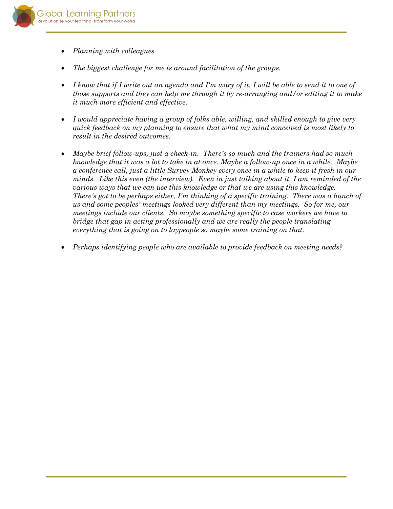

- *Planning with colleagues*
- *The biggest challenge for me is around facilitation of the groups.*
- *I know that if I write out an agenda and I'm wary of it, I will be able to send it to one of those supports and they can help me through it by re-arranging and/or editing it to make it much more efficient and effective.*
- *I would appreciate having a group of folks able, willing, and skilled enough to give very quick feedback on my planning to ensure that what my mind conceived is most likely to result in the desired outcomes.*
- *Maybe brief follow-ups, just a check-in. There's so much and the trainers had so much knowledge that it was a lot to take in at once. Maybe a follow-up once in a while. Maybe a conference call, just a little Survey Monkey every once in a while to keep it fresh in our minds. Like this even (the interview). Even in just talking about it, I am reminded of the various ways that we can use this knowledge or that we are using this knowledge. There's got to be perhaps either, I'm thinking of a specific training. There was a bunch of us and some peoples' meetings looked very different than my meetings. So for me, our meetings include our clients. So maybe something specific to case workers we have to bridge that gap in acting professionally and we are really the people translating everything that is going on to laypeople so maybe some training on that.*
- *Perhaps identifying people who are available to provide feedback on meeting needs?*